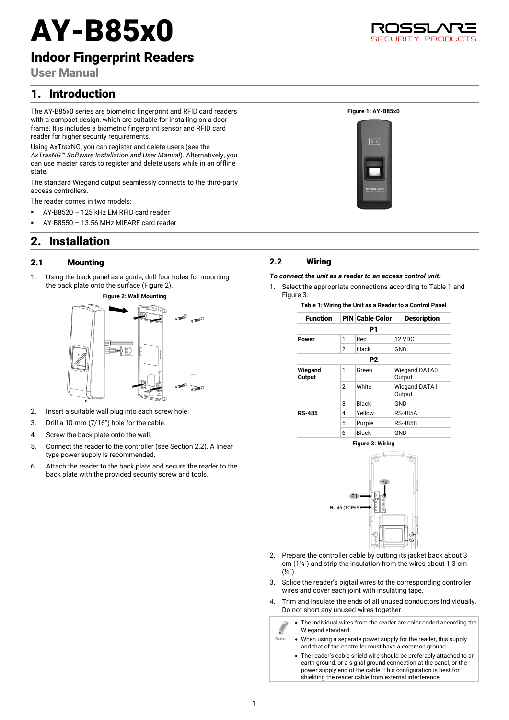# AY-B85x0

# Indoor Fingerprint Readers

User Manual

# 1. Introduction

The AY-B85x0 series are biometric fingerprint and RFID card readers with a compact design, which are suitable for installing on a door frame. It is includes a biometric fingerprint sensor and RFID card reader for higher security requirements.

Using AxTraxNG, you can register and delete users (see the *AxTraxNG™ Software Installation and User Manual*). Alternatively, you can use master cards to register and delete users while in an offline state.

The standard Wiegand output seamlessly connects to the third-party access controllers.

The reader comes in two models:

- AY-B8520 125 kHz EM RFID card reader
- AY-B8550 13.56 MHz MIFARE card reader

## 2. Installation

## 2.1 Mounting

<span id="page-0-0"></span>1. Using the back panel as a guide, drill four holes for mounting the back plate onto the surface [\(Figure 2\)](#page-0-0).

#### **Figure 2: Wall Mounting**



- 2. Insert a suitable wall plug into each screw hole.
- 3. Drill a 10-mm (7/16") hole for the cable.
- 4. Screw the back plate onto the wall.
- 5. Connect the reader to the controller (see Section [2.2\)](#page-0-1). A linear type power supply is recommended.
- <span id="page-0-1"></span>6. Attach the reader to the back plate and secure the reader to the back plate with the provided security screw and tools.

## 2.2 Wiring

#### *To connect the unit as a reader to an access control unit:*

<span id="page-0-2"></span>1. Select the appropriate connections according t[o Table 1](#page-0-2) and [Figure 3.](#page-0-3)

#### **Table 1: Wiring the Unit as a Reader to a Control Panel**

| <b>Function</b>   |                | <b>PIN Cable Color</b> | <b>Description</b>             |  |  |
|-------------------|----------------|------------------------|--------------------------------|--|--|
| P1                |                |                        |                                |  |  |
| Power             | 1              | Red                    | 12 VDC                         |  |  |
|                   | 2              | black                  | GND                            |  |  |
|                   |                | P <sub>2</sub>         |                                |  |  |
| Wiegand<br>Output | 1              | Green                  | <b>Wiegand DATA0</b><br>Output |  |  |
|                   | $\overline{2}$ | White                  | <b>Wiegand DATA1</b><br>Output |  |  |
|                   | 3              | Black                  | GND                            |  |  |
| <b>RS-485</b>     | 4              | Yellow                 | <b>RS-485A</b>                 |  |  |
|                   | 5              | Purple                 | <b>RS-485B</b>                 |  |  |
|                   | 6              | Black                  | GND                            |  |  |

**Figure 3: Wiring**

<span id="page-0-3"></span>

- 2. Prepare the controller cable by cutting its jacket back about 3 cm (1¼") and strip the insulation from the wires about 1.3 cm  $(\frac{1}{2})$ .
- 3. Splice the reader's pigtail wires to the corresponding controller wires and cover each joint with insulating tape.
- 4. Trim and insulate the ends of all unused conductors individually. Do not short any unused wires together.

|      | • The individual wires from the reader are color coded according the<br>Wiegand standard.                                                                                                                                                                           |
|------|---------------------------------------------------------------------------------------------------------------------------------------------------------------------------------------------------------------------------------------------------------------------|
| Note | • When using a separate power supply for the reader, this supply<br>and that of the controller must have a common ground.                                                                                                                                           |
|      | • The reader's cable shield wire should be preferably attached to an<br>earth ground, or a signal ground connection at the panel, or the<br>power supply end of the cable. This configuration is best for<br>shielding the reader cable from external interference. |



 $( (-1)$ 

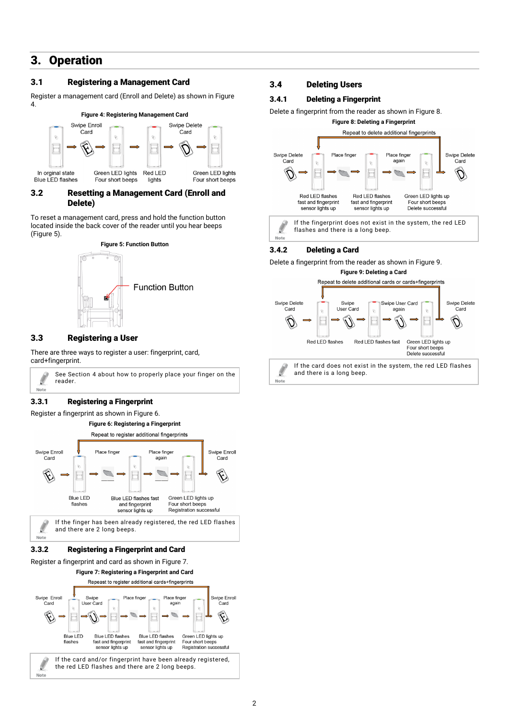## 3. Operation

## 3.1 Registering a Management Card

Register a management card (Enroll and Delete) as shown in [Figure](#page-1-0)  [4.](#page-1-0)

#### <span id="page-1-0"></span>**Figure 4: Registering Management Card** Swipe Delete Swipe Enroll .<br>Card Card Ĉ In orginal state Green LED lights Red LED Green LED lights Blue LED flashes Four short beeps lights Four short beeps

#### 3.2 Resetting a Management Card (Enroll and Delete)

<span id="page-1-1"></span>To reset a management card, press and hold the function button located inside the back cover of the reader until you hear beeps [\(Figure 5\)](#page-1-1).



## 3.3 Registering a User

There are three ways to register a user: fingerprint, card, card+fingerprint.



## 3.3.1 Registering a Fingerprint

Register a fingerprint as shown i[n Figure 6.](#page-1-2)

<span id="page-1-2"></span>

## 3.3.2 Registering a Fingerprint and Card

Register a fingerprint and card as shown i[n Figure 7.](#page-1-3)

<span id="page-1-3"></span>

## 3.4 Deleting Users

#### 3.4.1 Deleting a Fingerprint

Delete a fingerprint from the reader as shown i[n Figure 8.](#page-1-4)

<span id="page-1-4"></span>



J flashes and there is a long beep. Note

#### 3.4.2 Deleting a Card

Delete a fingerprint from the reader as shown i[n Figure 9.](#page-1-5)

<span id="page-1-5"></span>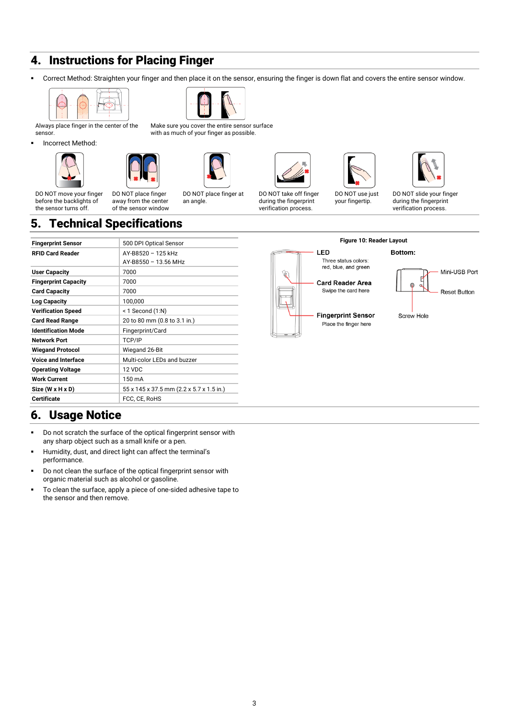## <span id="page-2-0"></span>4. Instructions for Placing Finger

Correct Method: Straighten your finger and then place it on the sensor, ensuring the finger is down flat and covers the entire sensor window.



Always place finger in the center of the sensor.

**-** Incorrect Method:





DO NOT move your finger before the backlights of the sensor turns off.

DO NOT place finger away from the center

of the sensor window

DO NOT place finger at

an angle.

Make sure you cover the entire sensor surface with as much of your finger as possible.









DO NOT take off finger during the fingerprint verification process.

DO NOT use just your fingertip.

DO NOT slide your finger during the fingerprint verification process.

# 5. Technical Specifications

| <b>Fingerprint Sensor</b>   | 500 DPI Optical Sensor                   |  |
|-----------------------------|------------------------------------------|--|
| <b>RFID Card Reader</b>     | AY-B8520 - 125 kHz                       |  |
|                             | AY-B8550 - 13.56 MHz                     |  |
| <b>User Capacity</b>        | 7000                                     |  |
| <b>Fingerprint Capacity</b> | 7000                                     |  |
| <b>Card Capacity</b>        | 7000                                     |  |
| <b>Log Capacity</b>         | 100,000                                  |  |
| <b>Verification Speed</b>   | < 1 Second (1:N)                         |  |
| <b>Card Read Range</b>      | 20 to 80 mm (0.8 to 3.1 in.)             |  |
| <b>Identification Mode</b>  | Fingerprint/Card                         |  |
| <b>Network Port</b>         | TCP/IP                                   |  |
| <b>Wiegand Protocol</b>     | Wiegand 26-Bit                           |  |
| <b>Voice and Interface</b>  | Multi-color LEDs and buzzer              |  |
| <b>Operating Voltage</b>    | 12 VDC                                   |  |
| <b>Work Current</b>         | 150 mA                                   |  |
| Size (W x H x D)            | 55 x 145 x 37.5 mm (2.2 x 5.7 x 1.5 in.) |  |
| <b>Certificate</b>          | FCC, CE, RoHS                            |  |
|                             |                                          |  |





# 6. Usage Notice

- Do not scratch the surface of the optical fingerprint sensor with any sharp object such as a small knife or a pen.
- Humidity, dust, and direct light can affect the terminal's performance.
- Do not clean the surface of the optical fingerprint sensor with organic material such as alcohol or gasoline.
- To clean the surface, apply a piece of one-sided adhesive tape to the sensor and then remove.